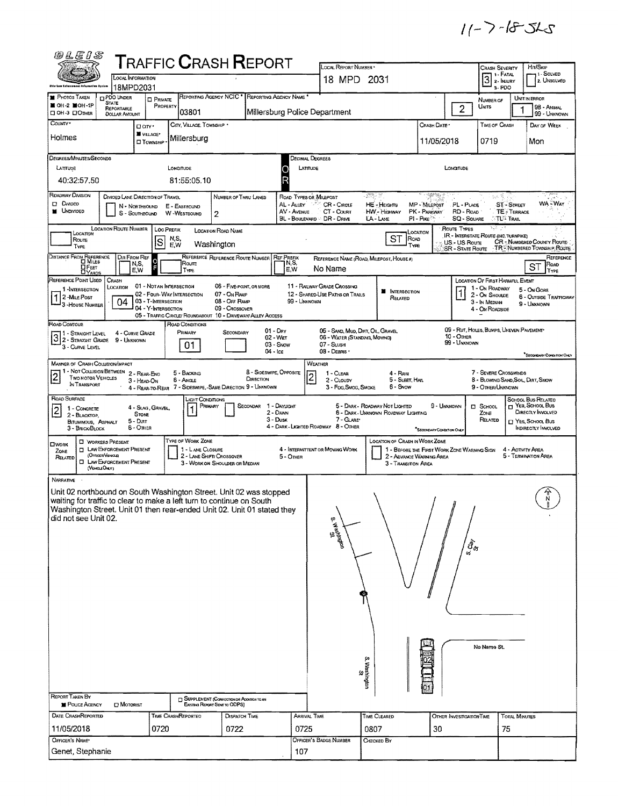$11 - 7 - 18 - 52$ 

| @LEIS                                                                                                                                            |                                                   |                                                                     | ${\sf T}$ RAFFIC ${\sf C}$ RASH ${\sf R}$ EPORT                               |                                                          | LOCAL REPORT NUMBER .                                              |                                                                                                           |                                                         |                                               |                                                                          |                                           | Hrt/Skip                                                 |
|--------------------------------------------------------------------------------------------------------------------------------------------------|---------------------------------------------------|---------------------------------------------------------------------|-------------------------------------------------------------------------------|----------------------------------------------------------|--------------------------------------------------------------------|-----------------------------------------------------------------------------------------------------------|---------------------------------------------------------|-----------------------------------------------|--------------------------------------------------------------------------|-------------------------------------------|----------------------------------------------------------|
|                                                                                                                                                  | <b>LOCAL INFORMATION</b>                          |                                                                     |                                                                               |                                                          | 18 MPD 2031                                                        |                                                                                                           |                                                         |                                               | <b>CRASH SEVERITY</b><br>¬ т - Ғата∟<br>$\boxed{3}$ : $^{\text{I-fATA}}$ |                                           | 1 - SOLVED<br>2. UNSOLVED                                |
| ible Law Enigropment Infactuaties Assist<br><b>PHOTOS TAKEN</b><br>PDO UNDER                                                                     | 18MPD2031<br><b>D</b> PRIVATE                     |                                                                     | REPORTING AGENCY NCIC <sup>*</sup> REPORTING AGENCY NAME <sup>*</sup>         |                                                          |                                                                    |                                                                                                           |                                                         |                                               | s-PDO                                                                    | UNIT IN ERROR                             |                                                          |
| <b>STATE</b><br>$MOH-2$ MOH-1P<br>REPORTABLE<br>OH-3 DOMER<br><b>DOLLAR AMOUNT</b>                                                               | PROPERTY                                          | 03801                                                               |                                                                               | Millersburg Police Department                            |                                                                    |                                                                                                           |                                                         | $\overline{2}$                                | NUMBER OF<br>Umts                                                        |                                           | 98 - ANIMAL<br>99 - UNKNOWN                              |
| COUNTY*<br>Holmes                                                                                                                                | Dary.<br>WILLAGE*                                 | CITY, VILLAGE, TOWNSHIP                                             |                                                                               |                                                          |                                                                    |                                                                                                           | Crash Date                                              |                                               | TIME OF CRASH                                                            |                                           | DAY OF WEEK                                              |
|                                                                                                                                                  | <b>El TOWNSHIP</b>                                | Millersburg                                                         |                                                                               |                                                          |                                                                    |                                                                                                           | 11/05/2018                                              |                                               | 0719                                                                     |                                           | Mon                                                      |
| DEGREES/MINUTES/SECONDS<br>LATITUDE                                                                                                              |                                                   | LONGITUDE                                                           |                                                                               | <b>DECIMAL DEGREES</b><br>LATITUDE<br>O                  |                                                                    |                                                                                                           |                                                         | LONGITUDE                                     |                                                                          |                                           |                                                          |
| 40:32:57.50                                                                                                                                      |                                                   | 81:55:05.10                                                         |                                                                               | R                                                        |                                                                    |                                                                                                           |                                                         |                                               |                                                                          |                                           |                                                          |
| ROADWAY DIVISION                                                                                                                                 | DIVIDED LANE DIRECTION OF TRAVEL                  |                                                                     | NUMBER OF THRU LANES                                                          | ROAD TYPES OR MILEPOST                                   |                                                                    | -333                                                                                                      |                                                         |                                               |                                                                          |                                           |                                                          |
| ⊡ Смоєо<br><b>M</b> UNDIVIDED                                                                                                                    | N - NORTHBOUND<br>S - SOUTHBOUND                  | E - EASTBOUND<br>W -WESTBOUND<br>2                                  |                                                                               | AL - ALLEY<br>AV - AVENUE<br>BL - BOULEVARD - DR - DRIVE | CR - CIRCLE<br>CT - COURT                                          | <b>HE-HEIGHTS</b><br>HW - Highway<br>LA - LANE                                                            | MP - Milepost<br>PK - PARKWAY<br>PI - Pike <sup>3</sup> | PL - PLACE<br>RD - Road<br><b>SQ - SQUARE</b> | ST-Smeet<br>∴TL® Trail                                                   | <b>TE-TERRACE</b>                         | WA WAY                                                   |
| <b>LOCATION ROUTE NUMBER</b><br>LOCATION                                                                                                         | <b>LOC PREFIX</b>                                 | <b>LOCATION ROAD NAME</b>                                           |                                                                               |                                                          |                                                                    |                                                                                                           | Location                                                | Route Types                                   | 892. jin<br>IR - INTERSTATE ROUTE (INC. TURNPIKE)                        |                                           |                                                          |
| Route<br>TYPE                                                                                                                                    | ls                                                | N,S,<br>Washington<br>E, W                                          |                                                                               |                                                          |                                                                    | ST<br>ROAD<br>TYPE                                                                                        |                                                         | US - US Route<br><b>SR - STATE ROUTE</b>      |                                                                          |                                           | CR - NUMBERED COUNTY ROUTE<br>TRENUMBERED TOWNSHIP ROUTE |
| DISTANCE FROM REFERENCE<br><b>O</b> FEET                                                                                                         | DIR FROM REF<br>N,S,<br>E.W                       | Route<br>TYPE                                                       | REFERENCE REFERENCE ROUTE NUMBER                                              | <b>REF PREFIX</b><br>N,S,<br>E.W                         | No Name                                                            | REFERENCE NAME (ROAD, MILEPOST, HOUSE #)                                                                  |                                                         |                                               |                                                                          | ST                                        | REFERENCE<br>ROAD<br>TYPE                                |
| REFERENCE POINT USED<br>CRASH<br>LOCATION<br>1-INTERSECTION                                                                                      | 01 - NOTAN INTERSECTION                           |                                                                     | 06 - Five-Point, or more                                                      |                                                          | 11 - RAILWAY GRADE CROSSING                                        |                                                                                                           |                                                         |                                               | LOCATION OF FIRST HARMFUL EVENT<br>1 - On ROADWAY                        | 5 - On Gore                               |                                                          |
| 2 - MiLE Post<br>04<br><sup>1</sup> 3 - House Number                                                                                             | 02 - FOUR-WAY INTERSECTION<br>03 - T-INTERSECTION |                                                                     | 07 - ON RAMP<br>08 - OFF RAMP                                                 | 99 - Unknown                                             | 12 - SHARED-USE PATHS OR TRAILS                                    | ■<br><b>INTERSECTION</b><br>RELATED                                                                       |                                                         |                                               | 2 - ON SHOULDE<br>3 - In Median                                          | 9 - UNKNOWN                               | 6 - OUTSIDE TRAFFICWAY                                   |
| ROAD CONTOUR                                                                                                                                     | 04 - Y-Intersection                               |                                                                     | 09 - Crossover<br>05 - TRAFFIC CIRCLE/ ROUNDABOUT 10 - DRIVEWAY/ ALLEY ACCESS |                                                          |                                                                    |                                                                                                           |                                                         |                                               | 4 - ON ROADSIDE                                                          |                                           |                                                          |
| 11 - Straight Level<br>3 2 - STRAIGHT LEVEL                                                                                                      | 4 - CURVE GRADE<br>9 - UNKNOWN                    | ROAD CONDITIONS<br>PRIMARY                                          | $01 - \text{Dry}$<br>SECONDARY<br>02 - Wer                                    |                                                          | 05 - SAND, MUD, DIRT, OIL, GRAVEL<br>06 - WATER (STANDING, MOVING) |                                                                                                           |                                                         | $10 -$ Other                                  | 09 - RUT, HOLES, BUMPS, UNEVEN PAVEMENT*                                 |                                           |                                                          |
| 3 - CURVE LEVEL                                                                                                                                  |                                                   | 01                                                                  | 04 - Ice                                                                      | 03 - SNOW                                                | 07 - Susa<br>08 - Deans ·                                          |                                                                                                           |                                                         | 99 - Unknown                                  |                                                                          |                                           | SECONDARY CONDITION ONLY                                 |
| <b>MANNER OF CRASH COLLISION/IMPACT</b><br>1 - NOT COLLISION BETWEEN<br>$\overline{2}$<br><b>TWO MOTOR VEHICLES</b><br>IN TRANSPORT              | 2 - REAR-ENO<br>3 - HEAD-ON                       | 5 - BACKING<br>6 - Angle                                            | 8 - SIDESWIPE, OPPOSITE<br>DIRECTION                                          | WEATHER<br>$\overline{2}$                                | 1 - CLEAR<br>2 - CLOUDY                                            | 4 - RAIN<br>5 - Sleet, Hall                                                                               |                                                         |                                               | 7 - SEVERE CROSSWINDS<br>8 - Blowing Sand, Soil, Dirt, Snow              |                                           |                                                          |
| ROAD SURFACE                                                                                                                                     |                                                   | LIGHT CONDITIONS                                                    | 4 - REAR-TO-REAR 7 - SIDESWIPE, SAME DIRECTION 9 - UNKNOWN                    |                                                          | 3 - Fog, Smog, Smoke                                               | 6 - Snow                                                                                                  |                                                         |                                               | 9 - OTHER/UNKNOWN                                                        | SCHOOL BUS RELATED                        |                                                          |
| 1 - CONCRETE<br>$\overline{2}$<br>2 - BLACKTOP,                                                                                                  | 4 - SLAG, GRAVEL,<br>STONE                        | PRIMARY                                                             | SECONDAR                                                                      | 1 - DAYLIGHT<br>2 - Dawn                                 |                                                                    | 5 - DARK - ROADWAY NOT LIGHTED<br>6 - DARK - UNKNOWN ROADWAY LIGHTING                                     | 9 - UNKNOWN                                             |                                               | El SCHOOL<br>ZONE                                                        | $\Box$ Yes, School Bus                    | DIRECTLY INVOLVED                                        |
| BITUMINOUS, ASPHALT<br>3 - Brick/Block                                                                                                           | 5 - Dart<br>6 - OTHER                             |                                                                     |                                                                               | $3 -$ Dusk                                               | 7 - GLARE*<br>4 - DARK - LIGHTED ROADWAY 8 - OTHER                 |                                                                                                           | SECONDARY CONDITION ONLY                                |                                               | RELATED                                                                  | □ Yes, School, Bus                        | INDIRECTLY INVOLVED                                      |
| <b>E WORKERS PRESENT</b><br><b>CIWORK</b><br><b>ELAW ENFORCEMENT PRESENT</b><br>ZONE<br>(Orncen/Venicus)                                         |                                                   | TYPE OF WORK ZONE<br>1 - L ANE CLOSURE<br>2 - LANE SHIFT/ CROSSOVER |                                                                               | 5 - Onen                                                 | 4 - INTERMITTENT OR MOVING WORK                                    | LOCATION OF CRASH IN WORK ZONE<br>1 - BEFORE THE FIRST WORK ZONE WARNING SIGN<br>2 - ADVANCE WARNING AREA |                                                         |                                               |                                                                          | 4 - ACTIVITY AREA<br>5 - TERMINATION AREA |                                                          |
| RELATED<br><b>EI LAW ENFORCEMENT PRESENT</b><br>(VEHOLEONLY)                                                                                     |                                                   | 3 - WORK ON SHOULDER OR MEDIAN                                      |                                                                               |                                                          |                                                                    | 3 - TRANSITION AREA                                                                                       |                                                         |                                               |                                                                          |                                           |                                                          |
| Narrative<br>Unit 02 northbound on South Washington Street. Unit 02 was stopped                                                                  |                                                   |                                                                     |                                                                               |                                                          |                                                                    |                                                                                                           |                                                         |                                               |                                                                          |                                           |                                                          |
| waiting for traffic to clear to make a left turn to continue on South<br>Washington Street. Unit 01 then rear-ended Unit 02. Unit 01 stated they |                                                   |                                                                     |                                                                               |                                                          |                                                                    |                                                                                                           |                                                         | $\#$                                          |                                                                          |                                           |                                                          |
| did not see Unit 02.                                                                                                                             |                                                   |                                                                     |                                                                               |                                                          | <b>B</b> Washington                                                |                                                                                                           |                                                         |                                               |                                                                          |                                           |                                                          |
|                                                                                                                                                  |                                                   |                                                                     |                                                                               |                                                          |                                                                    |                                                                                                           |                                                         | $/ \hat{\bar{\beta}}_{\sigma}$                |                                                                          |                                           |                                                          |
|                                                                                                                                                  |                                                   |                                                                     |                                                                               |                                                          |                                                                    |                                                                                                           |                                                         |                                               |                                                                          |                                           |                                                          |
|                                                                                                                                                  |                                                   |                                                                     |                                                                               |                                                          |                                                                    |                                                                                                           |                                                         |                                               |                                                                          |                                           |                                                          |
|                                                                                                                                                  |                                                   |                                                                     |                                                                               |                                                          |                                                                    |                                                                                                           |                                                         |                                               |                                                                          |                                           |                                                          |
|                                                                                                                                                  |                                                   |                                                                     |                                                                               |                                                          |                                                                    |                                                                                                           |                                                         |                                               |                                                                          |                                           |                                                          |
|                                                                                                                                                  |                                                   |                                                                     |                                                                               |                                                          |                                                                    |                                                                                                           |                                                         |                                               |                                                                          |                                           |                                                          |
|                                                                                                                                                  |                                                   |                                                                     |                                                                               |                                                          |                                                                    |                                                                                                           |                                                         |                                               | No Name St.                                                              |                                           |                                                          |
|                                                                                                                                                  |                                                   |                                                                     |                                                                               |                                                          |                                                                    |                                                                                                           |                                                         |                                               |                                                                          |                                           |                                                          |
|                                                                                                                                                  |                                                   |                                                                     |                                                                               |                                                          |                                                                    | S. Washington<br>S.                                                                                       |                                                         |                                               |                                                                          |                                           |                                                          |
| <b>REPORT TAKEN BY</b>                                                                                                                           |                                                   | SUPPLEMENT (CORRECTION OF ADDITION TO AN                            |                                                                               |                                                          |                                                                    |                                                                                                           |                                                         |                                               |                                                                          |                                           |                                                          |
| <b>POLICE AGENCY</b><br><b>DATE CRASHREPORTED</b>                                                                                                | <b>D</b> MOTORIST                                 | Existina Report Sent to ODPS)<br>TIME CRASHREPORTED                 | <b>DISPATCH TIME</b>                                                          | <b>ARRIVAL TIME</b>                                      |                                                                    | TIME CLEARED                                                                                              |                                                         | OTHER INVESTIGATION TIME                      |                                                                          | <b>TOTAL MINUTES</b>                      |                                                          |
| 11/05/2018                                                                                                                                       | 0720                                              |                                                                     | 0722                                                                          | 0725                                                     |                                                                    | 0807                                                                                                      | 30                                                      |                                               | 75                                                                       |                                           |                                                          |
| OFFICER'S NAME<br>Genet, Stephanie                                                                                                               |                                                   |                                                                     |                                                                               | 107                                                      | <b>OFFICER'S BADGE NUMBER</b>                                      | CHECKED BY                                                                                                |                                                         |                                               |                                                                          |                                           |                                                          |
|                                                                                                                                                  |                                                   |                                                                     |                                                                               |                                                          |                                                                    |                                                                                                           |                                                         |                                               |                                                                          |                                           |                                                          |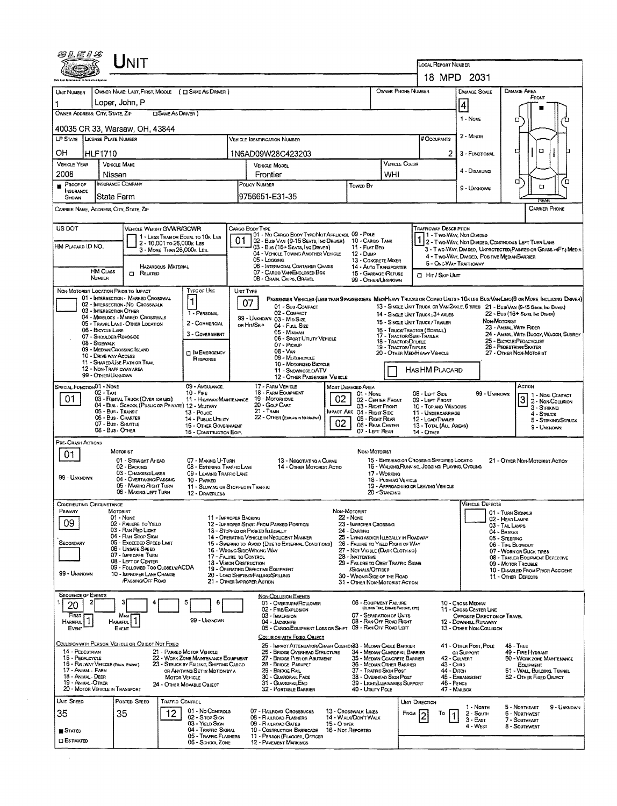|                                           | LINIT                                                                                   |                                                                                |                                                                                                  |                                                                       |                                                                  | LOCAL REPORT NUMBER                                                     |                                                                                                                                                                                                                |
|-------------------------------------------|-----------------------------------------------------------------------------------------|--------------------------------------------------------------------------------|--------------------------------------------------------------------------------------------------|-----------------------------------------------------------------------|------------------------------------------------------------------|-------------------------------------------------------------------------|----------------------------------------------------------------------------------------------------------------------------------------------------------------------------------------------------------------|
|                                           |                                                                                         |                                                                                |                                                                                                  |                                                                       |                                                                  | 18 MPD 2031                                                             |                                                                                                                                                                                                                |
| UNIT NUMBER                               |                                                                                         | OWNER NAME: LAST, FIRST, MIDDLE ( C SAME AS DRIVER )                           |                                                                                                  |                                                                       | OWNER PHONE NUMBER                                               | <b>DAMAGE SCALE</b>                                                     | <b>DAMAGE AREA</b>                                                                                                                                                                                             |
|                                           | Loper, John, P                                                                          |                                                                                |                                                                                                  |                                                                       |                                                                  | $\vert 4 \vert$                                                         | FRONT                                                                                                                                                                                                          |
| OWNER ADDRESS: CITY, STATE, ZIP           |                                                                                         | <b>CISAME AS DRIVER 1</b>                                                      |                                                                                                  |                                                                       |                                                                  | 1 - None                                                                | о                                                                                                                                                                                                              |
|                                           | 40035 CR 33, Warsaw, OH, 43844                                                          |                                                                                |                                                                                                  |                                                                       |                                                                  |                                                                         |                                                                                                                                                                                                                |
| LP STATE LICENSE PLATE NUMBER             |                                                                                         |                                                                                | Vehicle Identification Number                                                                    |                                                                       | # Occupants                                                      | 2 - MINOR                                                               |                                                                                                                                                                                                                |
| ОН                                        | HLF1710                                                                                 |                                                                                | 1N6AD09W28C423203                                                                                |                                                                       |                                                                  | 2.<br>3 - FUNCTIONAL                                                    | α<br>г                                                                                                                                                                                                         |
| <b>VEHICLE YEAR</b>                       | <b>VEHICLE MAKE</b>                                                                     |                                                                                | VEHICLE MODEL                                                                                    |                                                                       | <b>VEHICLE COLOR</b>                                             | 4 - DISABUNG                                                            |                                                                                                                                                                                                                |
| 2008<br>PROOF OF                          | Nissan<br><b>INSURANCE COMPANY</b>                                                      |                                                                                | Frontier<br>POLICY NUMBER                                                                        | TOWED BY                                                              | WHI                                                              |                                                                         | α<br>ά                                                                                                                                                                                                         |
| INSURANCE<br>SHOWN                        | State Farm                                                                              |                                                                                | 9756651-E31-35                                                                                   |                                                                       |                                                                  | 9 - Unknown                                                             | $\Box$                                                                                                                                                                                                         |
|                                           | CARRIER NAME, ADDRESS, CITY, STATE, ZIP                                                 |                                                                                |                                                                                                  |                                                                       |                                                                  |                                                                         | <b>CARRIER PHONE</b>                                                                                                                                                                                           |
|                                           |                                                                                         |                                                                                |                                                                                                  |                                                                       |                                                                  |                                                                         |                                                                                                                                                                                                                |
| US DOT                                    |                                                                                         | VEHICLE WEIGHT GVWR/GCWR<br>1 - LESS THAN OR EQUAL TO 10K LBS                  | Cargo Body Type<br>101 - No Cargo Booy Type/Not Applicasi, 09 - Pole                             |                                                                       |                                                                  | Trafficway Description<br>1 - Two-Way, Not Divideo                      |                                                                                                                                                                                                                |
| HM PLACARD ID NO.                         |                                                                                         | 2 - 10,001 то 26,000к Las<br>3 - MORE THAN 26,000K LBS.                        | 01<br>02 - Bus/Van (9-15 Seats, Inc Driver)<br>03 - Bus (16+ Seats, Inc DRIVER)                  | 10 - CARGO TANK<br>11 - FLAT BED<br>$12 - D$ uMP                      |                                                                  | 7 2 - T WO-WAY, NOT DIVIDED, CONTINUOUS LEFT TURN LANE                  | 3 - Two-Way, Divided, Unprotected (Painted or Grass >4Ft.) Media                                                                                                                                               |
|                                           |                                                                                         | <b>HAZARDOUS MATERIAL</b>                                                      | 04 - VEHICLE TOWING ANOTHER VEHICLE<br>05 - LOGGING<br>06 - INTERMODAL CONTAINER CHASIS          | 13 - CONCRETE MIXER                                                   |                                                                  | 4 - Two-Way, Divided, Positive Median Barrier<br>5 - ONE-WAY TRAFFICWAY |                                                                                                                                                                                                                |
|                                           | <b>HM CLASS</b><br><b>CI RELATED</b><br>NUMBER                                          |                                                                                | 07 - CARGO VAN/ENCLOSED BOX<br>08 - GRAIN, CHIPS, GRAVEL                                         | 14 - AUTO TRANSPORTER<br>15 - GARBAGE /REFUSE<br>99 - OTHER/LINKNOWN  | <b>CI HIT / SKIP UNIT</b>                                        |                                                                         |                                                                                                                                                                                                                |
|                                           | NON-MOTORIST LOCATION PRIOR TO IMPACT                                                   | Type or Use                                                                    | UNIT TYPE                                                                                        |                                                                       |                                                                  |                                                                         |                                                                                                                                                                                                                |
|                                           | 01 - INTERSECTION - MARKED CROSSWAL<br>02 - INTERSECTION NO CROSSWALK                   | $\mathbf{1}$                                                                   | 07<br>01 - Sub COMPACT                                                                           |                                                                       |                                                                  |                                                                         | PASSENGER VEHICLES (LESS THAN PRASSENGERS MEDIMEANY TRUCKS OR COMBO UNTS > 10KLBS BUS/VANLIMO(9 OR MORE INCLUDING DRIVER)<br>13 - SINGLE UNIT TRUCK OR VAN ZAXLE, 6 TIRES 21 - BUS/VAN (9-15 SEATS, INC DANCR) |
|                                           | 03 - INTERSECTION OTHER<br>04 - MIDBLOCK - MARKED CROSSWALK                             | 1 - PERSONAL                                                                   | 02 - COMPACT<br>99 - UNKNOWN 03 - MID SIZE                                                       |                                                                       | 14 - SINGLE UNIT TRUCK: 3+ AXLES                                 |                                                                         | 22 - Bus (16+ Sexts, Inc Driver)                                                                                                                                                                               |
|                                           | 05 - TRAVEL LANE - OTHER LOCATION<br>06 - BICYCLE LANE                                  | 2 - COMMERCIAL                                                                 | OR HIT/SKIP<br>04 - FULL SIZE                                                                    |                                                                       | 15 - SINGLE UNIT TRUCK/ TRAILER<br>16 - TRUCK/TRACTOR (BOBTAIL)  |                                                                         | NON-MOTORIST<br>23 - ANIMAL WITH RIDER                                                                                                                                                                         |
|                                           | 07 - SHOULDER/ROADSIDE<br>08 - SIDEWALK                                                 | 3 - GOVERNMENT                                                                 | 05 MINIVAN<br>06 - SPORT UTILITY VEHICLE<br>07 - Pickup                                          |                                                                       | 17 - TRACTOR/SEMI-TRAILER<br>18 - TRACTOR/DOUBLE                 |                                                                         | 24 - ANIMAL WITH BUGGY, WAGON, SURREY<br>25 - BICYCLE/PEDACYCLIST                                                                                                                                              |
|                                           | 09 - MEDIAN CROSSING ISLAND<br>10 - Drive way Access                                    | <b>TIN EMERGENCY</b>                                                           | $08 - V_{AN}$<br>09 - Motorcycle                                                                 |                                                                       | 19 - TRACTOR/TRIPLES<br>20 - OTHER MED/HEAVY VEHICLE             |                                                                         | 26 - PEDESTRIAN/SKATER<br>27 - OTHER NON-MOTORIST                                                                                                                                                              |
|                                           | 11 - SHARED-USE PATH OR TRAIL<br>12 - NON-TRAFFICWAY AREA                               | RESPONSE                                                                       | 10 - MOTORIZED BICYCLE<br><b>11 - SNOWMOBILE/ATV</b>                                             |                                                                       | HAS HM PLACARD                                                   |                                                                         |                                                                                                                                                                                                                |
|                                           | 99 - OTHER/UNKNOWN                                                                      |                                                                                | 12 - OTHER PASSENGER VEHICLE                                                                     |                                                                       |                                                                  |                                                                         |                                                                                                                                                                                                                |
| SPECIAL FUNCTION 01 - NONE                | 02 - Тахі                                                                               | 09 - AMBULANCE<br>$10 -$ Fire                                                  | 17 - FARM VEHICLE<br>18 - FARM EQUIPMENT                                                         | MOST DAMAGED AREA<br>01 - None                                        | 08 - LEFT SIDE                                                   | 99 - Unknown                                                            | ACTION<br>1 1 - Non-Contact                                                                                                                                                                                    |
| 01                                        | 03 - RENTAL TRUCK (OVER 10K UBS)<br>04 - Bus - School (Puslic or Private) 12 - Military | 11 - HIGHWAY/MAINTENANCE                                                       | 19 - Мотовноме<br>20 - GOLF CART                                                                 | 02<br>02 - CENTER FRONT<br>03 - Right Front                           | 09 - LEFT FRONT<br>10 - TOP AND WINDOWS                          |                                                                         | $\overline{3}$<br>2 - Non-Collision<br>3 - STRIKING                                                                                                                                                            |
|                                           | 05 - Bus Transit<br>06 - Bus - Charter                                                  | 13 - Pouce<br>14 - Pusuc Unury                                                 | 21 - Tran<br>22 - OTHER (EXPLAININ NARRATIVE)                                                    | <b>IMPACT ARE 04 - RIGHT SIDE</b><br>05 - RIGHT REAR                  | 11 - UNDERCARRIAGE<br>12 - LOAD/TRAILER                          |                                                                         | 4 - STRUCK<br>5 - STRIKING/STRUCK                                                                                                                                                                              |
|                                           | 07 - Bus - SHUTTLE<br>08 - Bus - Other                                                  | 15 - OTHER GOVERNMENT<br>16 - CONSTRUCTION EOIP.                               |                                                                                                  | 02<br>06 - REAR CENTER<br>07 - LEFT REAR                              | 13 - TOTAL (ALL AREAS)<br>14 - Отнев                             |                                                                         | 9 - UNKNOWN                                                                                                                                                                                                    |
| PRE- CRASH ACTIONS                        |                                                                                         |                                                                                |                                                                                                  |                                                                       |                                                                  |                                                                         |                                                                                                                                                                                                                |
| 01                                        | MOTORIST<br>01 - STRAIGHT AHEAD                                                         | 07 - MAKING U-TURN                                                             | 13 - NEGOTIATING A CURVE                                                                         | NON-MOTORIST                                                          | 15 - ENTERING OR CROSSING SPECIFIED LOCATIO                      |                                                                         | 21 - OTHER NON-MOTORIST ACTION                                                                                                                                                                                 |
|                                           | 02 - BACKING<br>03 - CHANGING LANES                                                     | 08 - ENTERING TRAFFIC LANE<br>09 - LEAVING TRAFFIC LANE                        | 14 - OTHER MOTORIST ACTIO                                                                        |                                                                       | 16 - WALKING, RUNNING, JOGGING, PLAYING, CYCLING<br>17 - WORKING |                                                                         |                                                                                                                                                                                                                |
| 99 - UNKNOWN                              | 04 - OVERTAKING/PASSING<br>05 - MAKING RIGHT TURN                                       | 10 - PARKED                                                                    | 11 - SLOWING OR STOPPED IN TRAFFIC                                                               |                                                                       | 18 - PUSHING VEHICLE<br>19 - APPROACHING OR LEAVING VEHICLE      |                                                                         |                                                                                                                                                                                                                |
|                                           | 06 - MAKING LEFT TURN                                                                   | 12 - DRIVERLESS                                                                |                                                                                                  |                                                                       | 20 - Standing                                                    |                                                                         |                                                                                                                                                                                                                |
|                                           | MOTORIST                                                                                |                                                                                |                                                                                                  | Non-Motorist                                                          |                                                                  | <b>VEHICLE DEFECTS</b>                                                  | 01 - TURN SIGNALS                                                                                                                                                                                              |
| Contributing Circumstance<br>PRIMARY      |                                                                                         |                                                                                | 11 - IMPROPER BACKING<br>12 - IMPROPER START FROM PARKED POSITION                                | <b>22 - NONE</b>                                                      |                                                                  |                                                                         | 02 - HEAD LAMPS                                                                                                                                                                                                |
| 09                                        | $01 - None$<br>02 - FAILURE TO YIELD                                                    |                                                                                |                                                                                                  | 23 - IMPROPER CROSSING                                                |                                                                  |                                                                         | 03 - TAIL LAMPS                                                                                                                                                                                                |
|                                           | 03 - RAN RED LIGHT<br>04 - RAN STOP SIGN                                                |                                                                                | 13 - Stopped or Parked LLEGALLY<br>14 - OPERATING VEHICLE IN NEGLIGENT MANINER                   | 24 - DARTING                                                          | 25 - LYING AND/OR LLEGALLY IN ROADWAY                            |                                                                         | 04 - BRAKES<br>05 - STEERING                                                                                                                                                                                   |
| <b>SECONDARY</b>                          | 05 - Excerped Speen Limit<br>06 - UNSAFE SPEED                                          |                                                                                | 15 - SWERING TO AVOID (DUE TO EXTERNAL CONDITIONS)<br>16 - WRONG SIDE/WRONG WAY                  | 26 - FALURE TO YIELD RIGHT OF WAY<br>27 - Not Visible (DARK CLOTHING) |                                                                  |                                                                         | 06 - TIRE BLOWOUT<br>07 - WORN OR SUCK TIRES                                                                                                                                                                   |
|                                           | 07 - IMPROPER TURN<br>08 - LEFT OF CENTER                                               |                                                                                | 17 - FALURE TO CONTROL<br>18 - VISION OBSTRUCTION                                                | 28 - Inattentive<br>29 - FAILURE TO OBEY TRAFFIC SIGNS                |                                                                  |                                                                         | 09 - MOTOR TROUBLE                                                                                                                                                                                             |
| 99 - UNKNOWN                              | 09 - Followed Too CloselwACDA<br>10 - IMPROPER LANE CHANGE                              |                                                                                | 19 - OPERATING DEFECTIVE EQUIPMENT<br>20 - LOAD SHIFTING/FALLING/SPILLING                        | /SIGNALS/OFFICER<br>30 - WRONG SIDE OF THE ROAD                       |                                                                  |                                                                         | 11 - OTHER DEFECTS                                                                                                                                                                                             |
|                                           | <b>PASSING OFF ROAD</b>                                                                 |                                                                                | 21 - OTHER IMPROPER ACTION                                                                       | 31 - OTHER NON-MOTORIST ACTION                                        |                                                                  |                                                                         |                                                                                                                                                                                                                |
| <b>SEQUENCE OF EVENTS</b>                 |                                                                                         | 5<br>6                                                                         | NON-COLLISION EVENTS<br>01 - OVERTURN/ROLLOVER                                                   | 06 - EQUIPMENT FAILURE                                                |                                                                  | 10 - Cross Median                                                       |                                                                                                                                                                                                                |
| 20<br>FIRST                               | Most                                                                                    |                                                                                | 02 - FIRE/EXPLOSION<br>03 - IMMERSION                                                            | 07 - SEPARATION OF UNITS                                              | (BLOWN TIRE, BRAKE FAILURE, ETC)                                 | 11 - Cross Center Line<br>OPPOSITE DIRECTION OF TRAVEL                  |                                                                                                                                                                                                                |
| HARMFUL <sup>1</sup><br>EVENT             | HARMFUL <sup>1</sup><br><b>EVENT</b>                                                    | 99 - Unknown                                                                   | 04 - JACKKNIFE<br>05 - CARGO/EQUIPMENT LOSS OR SHIFT                                             | 08 - RAN OFF ROAD RIGHT<br>09 - RAN OFF ROAD LEFT                     |                                                                  | 12 - DOWNHELL RUNAWAY<br>13 - OTHER NON-COLLISION                       |                                                                                                                                                                                                                |
|                                           |                                                                                         |                                                                                | COLLISION WITH FIXED, OBJECT                                                                     |                                                                       |                                                                  |                                                                         |                                                                                                                                                                                                                |
| 14 - PEDESTRIAN                           | COLLISION WITH PERSON. VEHICLE OR OBJECT NOT FIXED                                      | 21 - PARKED MOTOR VEHICLE                                                      | 25 - Impact Attenuator/Crash Cushion 33 - Median Cable Barrier<br>26 - BRIDGE OVERHEAD STRUCTURE |                                                                       | 34 - MEDIAN GUARDRAIL BARRIER                                    | 41 - OTHER POST, POLE<br>OR SUPPORT                                     | 48 - TREE<br>49 - Fire Hydrant                                                                                                                                                                                 |
| 15 - PEDALCYCLE<br>17 - Animal - Farm     | 16 - RAILWAY VEHICLE (TRAIN, ENGINE)                                                    | 22 - WORK ZONE MAINTENANCE EQUIPMENT<br>23 - STRUCK BY FALLING, SHIFTING CARGO | 27 - BRIDGE PIER OR ABUTMENT<br>28 - BRIDGE PARAPET                                              |                                                                       | 35 - MEDIAN CONCRETE BARRIER<br>36 - MEDIAN OTHER BARRIER        | 42 - CULVERT<br>43 - Curs                                               | EQUIPMENT                                                                                                                                                                                                      |
| 18 - Animal - Deer<br>19 - Animal - Other |                                                                                         | OR ANYTHING SET IN MOTION BY A<br><b>MOTOR VEHICLE</b>                         | 29 - BRIDGE RAIL<br>30 - GUARDRAIL FACE<br>31 - GUARDRAILEND                                     | 37 - TRAFFIC SIGN POST<br>38 - OVERHEAD SIGN POST                     | 39 - LIGHT/LUMINARIES SUPPORT                                    | 44 - Олсн<br>45 - EMBANKMENT<br>46 - FENCE                              | 52 - OTHER FIXED OBJECT                                                                                                                                                                                        |
|                                           | 20 - MOTOR VEHICLE IN TRANSPORT                                                         | 24 - OTHER MOVABLE OBJECT                                                      | 32 - PORTABLE BARRIER                                                                            | 40 - Unury Pole                                                       |                                                                  | 47 - MAILBOX                                                            |                                                                                                                                                                                                                |
| UNIT SPEED                                | POSTED SPEED                                                                            | TRAFFIC CONTROL                                                                |                                                                                                  |                                                                       | UNIT DIRECTION                                                   | 1 - North                                                               | 5 - NORTHEAST                                                                                                                                                                                                  |
| 35                                        | 35                                                                                      | 01 - No CONTROLS<br>12<br>02 - Stop Ston                                       | 07 - RAILROAD CROSSBUCKS<br>08 - RAILROAD FLASHERS                                               | 13 - Crosswalk Lines<br>14 - WALK/DON'T WALK                          |                                                                  | То<br>2 - South<br>3 - East                                             | 08 - TRALER EQUIPMENT DEFECTIVE<br>10 - DISASLED FROM PRIOR ACCIDENT<br>50 - WORK ZONE MAINTENANCE<br>51 - WALL BUILDING, TUNNEL<br>9 - UNKNOWN<br>6 - Northwest<br>7 - Southeast                              |
| STATED                                    |                                                                                         | 03 - YIELD Stav<br>04 - TRAFFIC SIGNAL<br>05 - TRAFFIC FLASHERS                | 09 - RALROAD GATES<br>10 - COSTRUCTION BARRICADE<br>11 - PERSON (FLAGGER, OFFICER                | 15 - O THER<br>16 - Not Reported                                      |                                                                  | 4 - West                                                                | 8 - Southwest                                                                                                                                                                                                  |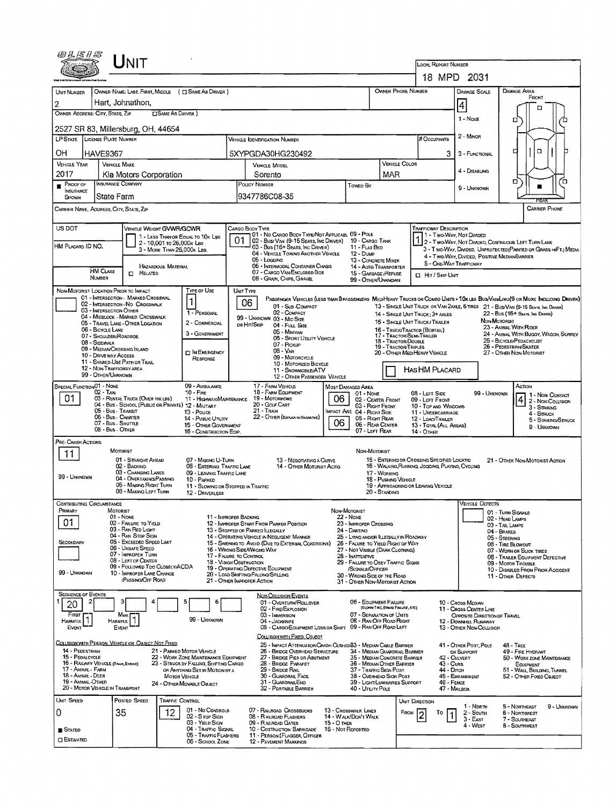|                                                           | UNIT                                                                                                         |                                                                          |                                                                                                 |                                                               |                                                                                            |                                         |                                                                                                 |                                                        |                                                                                                                             |
|-----------------------------------------------------------|--------------------------------------------------------------------------------------------------------------|--------------------------------------------------------------------------|-------------------------------------------------------------------------------------------------|---------------------------------------------------------------|--------------------------------------------------------------------------------------------|-----------------------------------------|-------------------------------------------------------------------------------------------------|--------------------------------------------------------|-----------------------------------------------------------------------------------------------------------------------------|
|                                                           |                                                                                                              |                                                                          |                                                                                                 |                                                               |                                                                                            |                                         | <b>LOCAL REPORT NUMBER</b>                                                                      | 18 MPD 2031                                            |                                                                                                                             |
| UNIT NUMBER                                               | OWNER NAME: LAST, FIRST, MIDDLE ( C SAME AS DRIVER )                                                         |                                                                          |                                                                                                 |                                                               |                                                                                            |                                         | <b>OWNER PHONE NUMBER</b>                                                                       | DAMAGE SCALE                                           | DAMAGE AREA                                                                                                                 |
| $\overline{2}$                                            | Hart, Johnathon,                                                                                             |                                                                          |                                                                                                 |                                                               |                                                                                            |                                         |                                                                                                 |                                                        | FRONT                                                                                                                       |
| OWNER ADDRESS: CITY, STATE, ZIP                           |                                                                                                              | <b>CISAME AS DRIVER</b> )                                                |                                                                                                 |                                                               |                                                                                            |                                         |                                                                                                 | 4                                                      | П                                                                                                                           |
|                                                           | 2527 SR 83, Millersburg, OH, 44654                                                                           |                                                                          |                                                                                                 |                                                               |                                                                                            |                                         |                                                                                                 | $1 - \text{NowE}$                                      | □                                                                                                                           |
| LP STATE LICENSE PLATE NUMBER                             |                                                                                                              |                                                                          | <b>VEHICLE IDENTIFICATION NUMBER</b>                                                            |                                                               |                                                                                            |                                         | # Occupants                                                                                     | 2 - MINOR                                              |                                                                                                                             |
| OН<br><b>HAVE9367</b>                                     |                                                                                                              |                                                                          | 5XYPGDA30HG230492                                                                               |                                                               |                                                                                            |                                         | 3                                                                                               | 3 - FUNCTIONAL                                         | $\Box$<br>г                                                                                                                 |
| <b>VEHICLE YEAR</b><br>2017                               | <b>VEHICLE MAKE</b>                                                                                          |                                                                          | VEHICLE MODEL                                                                                   |                                                               |                                                                                            | VEHICLE COLOR                           |                                                                                                 | 4 - Disabung                                           |                                                                                                                             |
| <b>PROOF OF</b>                                           | Kia Motors Corporation<br>INSURANCE COMPANY                                                                  |                                                                          | Sorento<br>POLICY NUMBER                                                                        |                                                               | Toweo By                                                                                   | MAR                                     |                                                                                                 |                                                        | о                                                                                                                           |
| INSURANCE<br>SHOWN                                        | State Farm                                                                                                   |                                                                          | 9347786C08-35                                                                                   |                                                               |                                                                                            |                                         |                                                                                                 | 9 - UNKNOWN                                            |                                                                                                                             |
| CARRIER NAME, ADDRESS, CITY, STATE, ZIP                   |                                                                                                              |                                                                          |                                                                                                 |                                                               |                                                                                            |                                         |                                                                                                 |                                                        | <b>CARRIER PHONE</b>                                                                                                        |
| US DOT                                                    | VEHICLE WEIGHT GVWR/GCWR                                                                                     |                                                                          | CARGO BODY TYPE                                                                                 |                                                               |                                                                                            |                                         | <b>TRAFFICWAY DESCRIPTION</b>                                                                   |                                                        |                                                                                                                             |
|                                                           |                                                                                                              | 1 - LESS THAN OR EQUAL TO 10K LBS<br>2 - 10,001 to 26,000k Las           | 01.<br>02 - Bus/Van (9-15 Seats, Inc Driver) 10 - Cargo Tank                                    | 01 - No CARGO BODY TYPE/NOT APPLICABL 09 - POLE               |                                                                                            |                                         |                                                                                                 | 1 - Two-Way, Not Divided                               | 12 - TWO-WAY, NOT DIVIDED, CONTINUOUS LEFT TURN LANE                                                                        |
| HM PLACARD ID NO.                                         |                                                                                                              | 3 - MORE THAN 26,000K LBS.                                               | 03 - Bus (16+ Seats, Inc Driver)<br>04 - VEHICLE TOWING ANOTHER VEHICLE                         |                                                               | 11 - FLAT BED<br>12 - Duse                                                                 |                                         |                                                                                                 |                                                        | 3 - T WO-WAY, DIMDED, UNPROTECTED (PAINTED OR GRASS >4FT.) MEDIA<br>4 - Two-Way, Divided, Positive MedianBarrier            |
| <b>HM CLASS</b>                                           | HAZARDOUS MATERIAL<br>$\Box$ RELATED                                                                         |                                                                          | 05 - Logging<br>06 - INTERMODAL CONTAINER CHASIS<br>07 - CARGO VAN ENCLOSED BOX                 |                                                               | 13 - CONCRETE MIXER<br>14 - AUTO TRANSPORTER<br>15 - GARBAGE /REFUSE                       |                                         |                                                                                                 | 5 - ONE-WAY TRAFFICWAY                                 |                                                                                                                             |
| NUMBER                                                    |                                                                                                              |                                                                          | 08 - GRAIN, CHIPS, GRAVEL                                                                       |                                                               | 99 - OTHER/UNKNOWN                                                                         |                                         | <b>I</b> HIT / SKIP UNIT                                                                        |                                                        |                                                                                                                             |
| NON-MOTORIST LOCATION PRIOR TO IMPACT                     | 01 - INTERSECTION - MARKED CROSSWAL                                                                          | TYPE OF USE<br>1                                                         | UNIT TYPE                                                                                       |                                                               |                                                                                            |                                         |                                                                                                 |                                                        | PASSENGER VEHICLES (LESS THAN BPASSENGERS MEDIHEAVY TRUCKS OR COMBO UNITS > 10x LES BUS/VAWLIMO(9 OR MORE INCLUDING DRIVER) |
| 03 - INTERSECTION OTHER                                   | 02 - INTERSECTION - NO CROSSWALK                                                                             | 1 - PERSONAL                                                             | 06<br>01 - Sub COMPACT<br>02 - COMPACT                                                          |                                                               |                                                                                            |                                         | 14 - SINGLE UNIT TRUCK: 3+ AXLES                                                                |                                                        | 13 - SINGLE UNIT TRUCK OR VAN 2AXLE, 6 TIRES 21 - BUS/VAN (9-15 SEATS, INC DRIVER)<br>22 - Bus (16+ Seats, Ing Danga)       |
|                                                           | 04 - MIDBLOCK - MARKED CROSSWALK<br>05 - TRAVEL LANE - OTHER LOCATION                                        | 2 - COMMERCIAL                                                           | 99 - UNKNOWN 03 - MIO SIZE<br>OR HIT/SKIP<br>04 - FULL SIZE                                     |                                                               |                                                                                            |                                         | 15 - SINGLE UNT TRUCK/ TRAILER                                                                  |                                                        | NON-MOTORIST<br>23 - ANIMAL WITH FUDER                                                                                      |
| 06 - BICYCLE LANE<br>07 - SHOULDER/ROADSIDE               |                                                                                                              | 3 - Government                                                           | 05 - Minivan                                                                                    | 06 - SPORT UTIUTY VEHICLE                                     |                                                                                            | 18 - TRACTOR/DOUBLE                     | 16 - TRUCK/TRACTOR (BOSTAL)<br>17 - TRACTOR/SEMI-TRAILER                                        |                                                        | 24 - ANIMAL WITH BUGGY, WAGON, SURREY<br>25 - BICYCLE/PEDACYCUST                                                            |
| 08 - Sidewalk<br>10 - DRIVE WAY ACCESS                    | 09 - MEDIAN/CROSSING SLAND                                                                                   | <b>DIN EMERGENCY</b>                                                     | 07 - PICKUP<br>08 - Van                                                                         |                                                               |                                                                                            | 19 - TRACTOR/TRIPLES                    | 20 - OTHER MEDIHEAVY VEHICLE                                                                    |                                                        | 26 - Pedestrian/Skater<br>27 - OTHER NON-MOTORIST                                                                           |
|                                                           | 11 - SHARED-USE PATH OR THAIL<br>12 - NON-TRAFFICWAY AREA                                                    | RESPONSE                                                                 | 09 - MOTORCYCLE                                                                                 | 10 - MOTORIZED BICYCLE                                        |                                                                                            |                                         |                                                                                                 |                                                        |                                                                                                                             |
| 99 - OTHER/UNKNOWN                                        |                                                                                                              |                                                                          | 11 - SNOWMOBILE/ATV                                                                             | 12 - OTHER PASSENGER VEHICLE                                  |                                                                                            |                                         | HASHM PLACARD                                                                                   |                                                        |                                                                                                                             |
| SPECIAL FUNCTION 01 - NONE<br>02 - Taxi                   |                                                                                                              | 09 - AMBULANCE<br>$10 -$ FiRE                                            | 17 - FARM VEHICLE<br>18 - FARM EQUIPMENT                                                        |                                                               | MOST DAMAGED AREA<br>01 - None                                                             |                                         | 08 - LEFT SIDE                                                                                  |                                                        | ACTION<br>99 - UNKNOWN<br>1 - Non-Contact                                                                                   |
| 01                                                        | 03 - RENTAL TRUCK (OVER 10KLBS)<br>04 - Bus - School (Public or Private) 12 - Military<br>05 - Bus - TRANSIT | 11 - Highway/Maintenance                                                 | 19 - MOTORHOME<br>20 - GOLF CART<br>$21 -$ TRAIN                                                | 06                                                            | 02 - CENTER FRONT<br>03 - Right Front                                                      |                                         | 09 - LEFT FRONT<br>10 - TOP AND WINDOWS                                                         |                                                        | 4 2 - NON-COLLISION<br>3 - Striking                                                                                         |
|                                                           | 06 - Bus - Charter<br>07 - Bus - SHUTTLE                                                                     | 13 - Pouce<br>14 - Pusuc Unury                                           | 22 - OTHER (EXPLAN IN NARRATIVE)                                                                | 06                                                            | IMPACT ARE 04 - RIGHT SIDE<br>05 - Right Rear<br>06 - REAR CENTER                          |                                         | 11 - UNDERCARRIAGE<br>12 - LOAD/TRAILER                                                         |                                                        | 4 - Struck<br>5 - STRIKING STRUCK                                                                                           |
|                                                           | 08 - Bus - OTHER                                                                                             | 15 - OTHER GOVERNMENT<br>16 - CONSTRUCTION EOIP.                         |                                                                                                 |                                                               | 07 - LEFT REAR                                                                             |                                         | 13 - TOTAL (ALL AREAS)<br>14 - OTHER                                                            |                                                        | 9 - Unknown                                                                                                                 |
| PRE-CRASH ACTIONS                                         | MOTORIST                                                                                                     |                                                                          |                                                                                                 |                                                               | NON-MOTORIST                                                                               |                                         |                                                                                                 |                                                        |                                                                                                                             |
| 11                                                        | 01 - STRAIGHT AHEAD<br>02 - BACKINO                                                                          | 07 - MAKING U-TURN<br>08 - ENTERING TRAFFIC LANE                         |                                                                                                 | 13 - NEGOTIATING A CURVE<br>14 - OTHER MOTORIST ACTIO         |                                                                                            |                                         | 15 - ENTERING OR CROSSING SPECIFIED LOCATIO<br>16 - WALKING, RUNNING, JOGGING, PLAYING, CYCLING |                                                        | 21 - OTHER NON-MOTORIST ACTION                                                                                              |
| 99 - Unknown                                              | 03 - CHANGING LANES<br>04 - OVERTAKING/PASSING                                                               | 09 - LEAMNG TRAFFIC LANE<br>10 - PARKED                                  |                                                                                                 |                                                               |                                                                                            | 17 - WORKING<br>18 - PUSHING VEHICLE    |                                                                                                 |                                                        |                                                                                                                             |
|                                                           | 05 - MAKING RIGHT TURN<br>06 - MAKING LEFT TURN                                                              | 11 - SLOWING OR STOPPED IN TRAFFIC<br>12 - DRIVERLESS                    |                                                                                                 |                                                               |                                                                                            | 20 - Standing                           | 19 - APPROACHING OR LEAVING VEHICLE                                                             |                                                        |                                                                                                                             |
| CONTRIBUTING CIRCUMSTANCE                                 |                                                                                                              |                                                                          |                                                                                                 |                                                               |                                                                                            |                                         |                                                                                                 | Vericle Defects                                        |                                                                                                                             |
| Primary                                                   | MOTORIST<br>01 - NONE                                                                                        |                                                                          | 11 - IMPROPER BACKING                                                                           | NON-MOTORIST                                                  | 22 - NONE                                                                                  |                                         |                                                                                                 |                                                        | 01 - TURN SIGNALS<br>02 - HEAD LAMPS                                                                                        |
| 01                                                        | 02 - FAILURE TO YIELD<br>03 - RAN RED LIGHT                                                                  |                                                                          | 12 - IMPROPER START FROM PARKED POSITION<br>13 - STOPPED OR PARKED ILLEGALLY                    |                                                               | 23 - IMPROPER CROSSING<br>24 - Danning                                                     |                                         |                                                                                                 |                                                        | 03 - TAIL LAMPS<br>04 - BRAKES                                                                                              |
| SECONDARY                                                 | 04 - RAN STOP SIGN<br>05 - EXCEEDED SPEED LIMIT<br>06 - UNSAFE SPEED                                         |                                                                          | 14 - OPERATING VEHICLE IN NEGUGENT MANNER<br>15 - SWERING TO AVOID (DUE TO EXTERNAL CONDITIONS) |                                                               | 25 - LYING ANDIGH ILLEGALLY IN ROADWAY<br>26 - FALURE TO YIELD RIGHT OF WAY                |                                         |                                                                                                 |                                                        | 05 - Steening<br>06 - TIRE BLOWOUT                                                                                          |
|                                                           | 07 - IMPROPER TURN<br>08 - LEFT OF CENTER                                                                    |                                                                          | 16 - WRONG SIDE/WRONG WAY<br>17 - FALURE TO CONTROL<br>18 - VISION OBSTRUCTION                  |                                                               | 27 - NOT VISIBLE (DARK CLOTHING)<br>28 - INATTENTIVE<br>29 - FAILURE TO OBEY TRAFFIC SIGNS |                                         |                                                                                                 |                                                        | 07 - WORN OR SLICK TIRES<br>08 - TRALER EQUIPMENT DEFECTIVE<br>09 - MOTOR TROUBLE                                           |
| 99 - Unknown                                              | 09 - FOLLOWED TOO CLOSELY/ACDA<br>10 - IMPROPER LANE CHANGE                                                  |                                                                          | 19 - OPERATING DEFECTIVE EQUIPMENT<br>20 - LOAD SHIFTING/FALLING/SPILLING                       |                                                               | /Signals/Officer<br>30 - Wrong Side of the Road                                            |                                         |                                                                                                 |                                                        | 10 - DISABLED FROM PRIOR ACCIDENT<br>11 - OTHER DEFECTS                                                                     |
|                                                           | (PASSING/OFF ROAD                                                                                            |                                                                          | 21 - OTHER IMPROPER ACTION                                                                      |                                                               | 31 - Other Non-Motorist Action                                                             |                                         |                                                                                                 |                                                        |                                                                                                                             |
| <b>SEQUENCE OF EVENTS</b><br>20                           |                                                                                                              |                                                                          | NON-COLUSION EVENTS<br>01 - OVERTURN/ROLLOVER                                                   |                                                               | 06 - EQUIPMENT FAILURE                                                                     |                                         |                                                                                                 | 10 - Cross Median                                      |                                                                                                                             |
| FIRST                                                     | Most                                                                                                         |                                                                          | 02 - FIRE/EXPLOSION<br>03 - IMMERSION                                                           |                                                               | 07 - SEPARATION OF UNITS                                                                   | <b>IBLOWN TIRE, BRAKE FAILURE, ETC)</b> |                                                                                                 | 11 - CROSS CENTER LINE<br>OPPOSITE DIRECTION OF TRAVEL |                                                                                                                             |
| $\uparrow$<br>HARMFUL<br>EVENT                            | Niest<br>HARMFUL <sup>1</sup><br>EVENT                                                                       | 99 - UNKNOWN                                                             | 04 - JACKKNIFE                                                                                  | 05 - CARGO/EQUIPMENT LOSS OR SHIFT 09 - RAN OFF ROAD LEFT     | 08 - RAN OFF ROAD PUGHT                                                                    |                                         |                                                                                                 | 12 - DOWNHILL RUNAWAY<br>13 - OTHER NON-COLLISION      |                                                                                                                             |
|                                                           | COLLISION WITH PERSON, VEHICLE OR OBJECT NOT FIXED                                                           |                                                                          | COLLISION WITH FIXED, OBJECT                                                                    | 25 - IMPACT ATTENUATOR/CRASH CUSHION33 - MEDIAN CABLE BARRIER |                                                                                            |                                         |                                                                                                 | 41 - OTHER POST, POLE                                  | 48 - TREE                                                                                                                   |
| 14 - PEDESTRIAN<br>15 - PEDALCYCLE                        |                                                                                                              | 21 - PARKED MOTOR VEHICLE<br>22 - WORK ZONE MAINTENANCE EQUIPMENT        | 26 - BRIDGE OVERHEAD STRUCTURE<br>27 - BRIDGE PIER OR ABUTMENT                                  |                                                               | 34 - MEDIAN GUARDRAIL BARRIER<br>35 - MEDIAN CONCRETE BARRIER                              |                                         |                                                                                                 | OR SUPPORT<br>42 - CULVERT                             | 49 - FIRE HYDRANT<br>50 - WORK ZONE MAINTENANCE                                                                             |
| 16 - RAILWAY VEHICLE (TRAIN, ENGINE)<br>17 - ANMAL - FARM |                                                                                                              | 23 - STRUCK BY FALLING, SHIFTING CARGO<br>OR ANYTHING SET IN MOTION BY A | 28 - BRIDGE PARAPET<br>29 - Bridge RAIL                                                         |                                                               | 36 - Median Other Barrier<br>37 - TRAFFIC SIGN POST                                        |                                         |                                                                                                 | $43 - C$ URB<br>44 - Олон                              | <b>EQUIPMENT</b><br>51 - WALL, BUILDING, TUNNEL                                                                             |
| 18 - Animal - Deer<br>19 - Annial - Other                 |                                                                                                              | <b>MOTOR VEHICLE</b><br>24 - Отнев Моулвце Овлест                        | 30 - GUARDRAIL FACE<br>31 - GUARDRAILEND                                                        |                                                               | 38 - Overhead Sign Post<br>39 - LIGHT/LUMINARIES SUPPORT                                   |                                         |                                                                                                 | 45 - EMBANKMENT<br>46 - FENCE                          | 52 - OTHER FIXED OBJECT                                                                                                     |
| 20 - MOTOR VEHICLE IN TRANSPORT<br>UNIT SPEED             | POSTED SPEED                                                                                                 | TRAFFIC CONTROL                                                          | 32 - PORTABLE BARRIER                                                                           |                                                               | 40 - UTILITY POLE                                                                          |                                         | UNIT DIRECTION                                                                                  | 47 - MAILBOX                                           |                                                                                                                             |
| 0                                                         | 35                                                                                                           | 01 - No Controls<br>12                                                   | 07 - RAILROAD CROSSBUCKS                                                                        |                                                               | 13 - CROSSWALK LINES                                                                       |                                         | FROM<br>To                                                                                      | 1 - North<br>2 - Soum                                  | 5 - NORTHEAST<br>9 - UNKNOWN<br>6 - Northwest                                                                               |
|                                                           |                                                                                                              | 02 - S TOP SIGN<br>03 - YIELD SIGN                                       | 08 - RAILROAD FLASHERS<br>09 - RAILROAD GATES                                                   | 15 - О тнея                                                   | 14 - WALK/DON'T WALK                                                                       |                                         |                                                                                                 | 1<br>$3 - EAST$<br>4 - West                            | 7 - SOUTHEAST<br>8 - Southwest                                                                                              |
| <b>B</b> STATED<br><b>ESTIMATED</b>                       |                                                                                                              | 04 - Traffic Signal<br>05 - TRAFFIC FLASHERS<br>06 - SCHOOL ZONE         | 10 - COSTRUCTION BARRICADE<br>11 - PERSON (FLAGGER, OFFICER<br><b>12 - PAVEMENT MARKINGS</b>    | 16 - Not Reported                                             |                                                                                            |                                         |                                                                                                 |                                                        |                                                                                                                             |
|                                                           |                                                                                                              |                                                                          |                                                                                                 |                                                               |                                                                                            |                                         |                                                                                                 |                                                        |                                                                                                                             |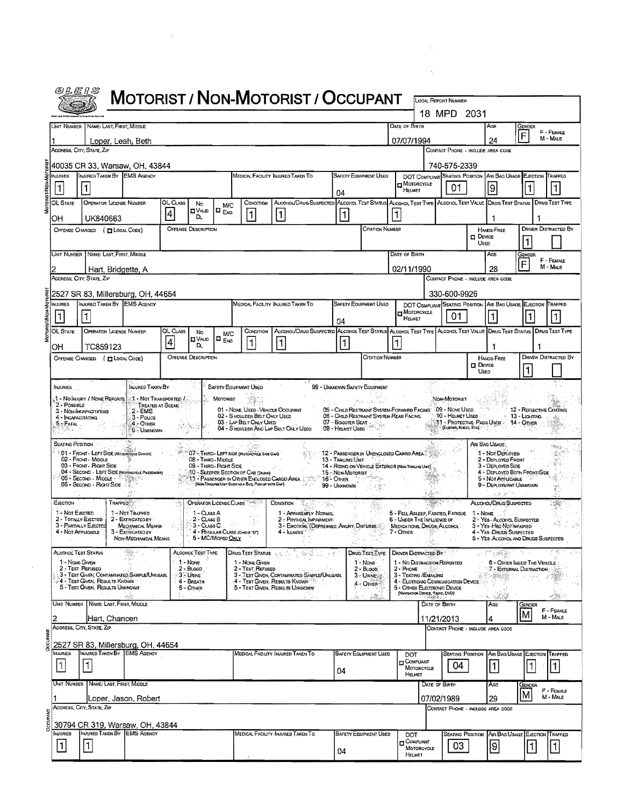|                                                                                | <b>MOTORIST / NON-MOTORIST / OCCUPANT</b>                                                                                  |                                                                                                                       |                |                                                |                                    |                                                                                            |                                                                                                                       |                                                                                                                                                                               |                                |                                                                                                      |               |                                                           |                                                               |                                                                                                         |                                                        |                        |
|--------------------------------------------------------------------------------|----------------------------------------------------------------------------------------------------------------------------|-----------------------------------------------------------------------------------------------------------------------|----------------|------------------------------------------------|------------------------------------|--------------------------------------------------------------------------------------------|-----------------------------------------------------------------------------------------------------------------------|-------------------------------------------------------------------------------------------------------------------------------------------------------------------------------|--------------------------------|------------------------------------------------------------------------------------------------------|---------------|-----------------------------------------------------------|---------------------------------------------------------------|---------------------------------------------------------------------------------------------------------|--------------------------------------------------------|------------------------|
|                                                                                |                                                                                                                            |                                                                                                                       |                |                                                |                                    |                                                                                            |                                                                                                                       |                                                                                                                                                                               |                                |                                                                                                      |               | 18 MPD 2031                                               |                                                               |                                                                                                         |                                                        |                        |
|                                                                                | UNIT NUMBER NAME: LAST, FIRST, MIDDLE                                                                                      |                                                                                                                       |                |                                                |                                    |                                                                                            |                                                                                                                       |                                                                                                                                                                               |                                | Date of Birth                                                                                        |               |                                                           | Age                                                           |                                                                                                         | GENDER<br>F                                            | F - FEMALE             |
|                                                                                | Loper, Leah, Beth<br>ADDRESS, CITY, STATE, ZIP                                                                             |                                                                                                                       |                |                                                |                                    |                                                                                            |                                                                                                                       |                                                                                                                                                                               |                                | 07/07/1994                                                                                           |               |                                                           | 24<br>CONTACT PHONE - INCLUDE AREA CODE                       |                                                                                                         |                                                        | M - MALE               |
|                                                                                | 40035 CR 33, Warsaw, OH, 43844                                                                                             |                                                                                                                       |                |                                                |                                    |                                                                                            |                                                                                                                       |                                                                                                                                                                               |                                |                                                                                                      |               | 740-575-2339                                              |                                                               |                                                                                                         |                                                        |                        |
| <b>NJURIES</b>                                                                 | INJURED TAKEN BY EMS AGENCY                                                                                                |                                                                                                                       |                |                                                |                                    |                                                                                            | Medical Facility Injured Taken To                                                                                     |                                                                                                                                                                               | SAFETY EQUIPMENT USED          |                                                                                                      |               |                                                           | DOT COMPUANT SEATING POSITION AIR BAG USAGE EJECTION TRAPPED  |                                                                                                         |                                                        |                        |
| $\vert$ 1                                                                      |                                                                                                                            |                                                                                                                       |                |                                                |                                    |                                                                                            |                                                                                                                       | 04                                                                                                                                                                            |                                | <b>I</b> MOTORCYCLE<br>HELMET                                                                        |               | 01                                                        | 9                                                             |                                                                                                         |                                                        | 1                      |
| OL STATE                                                                       | <b>OPERATOR LICENSE NUMBER</b>                                                                                             |                                                                                                                       | OL CLASS<br> 4 | No<br>O V∧uD                                   | M/C<br>$\Box$ $_{\text{EMD}}$      | CONDITION<br>$\overline{1}$                                                                | ALCOHOL/DRUG SUSPECTED ALCOHOL TEST STATUS ALCOHOL TEST TYPE ALCOHOL TEST VALUE DRUG TEST STATUS DRUG TEST TYPE<br>11 |                                                                                                                                                                               |                                | 1                                                                                                    |               |                                                           |                                                               |                                                                                                         |                                                        |                        |
| OH                                                                             | UK840663<br>OFFENSE CHARGED ( T LOCAL CODE)                                                                                |                                                                                                                       |                | DL.<br><b>OFFENSE DESCRIPTION</b>              |                                    |                                                                                            |                                                                                                                       | 11                                                                                                                                                                            | Citation Number                |                                                                                                      |               |                                                           | HANDS-FREE                                                    |                                                                                                         | <b>DRIVER DISTRACTED BY</b>                            |                        |
|                                                                                |                                                                                                                            |                                                                                                                       |                |                                                |                                    |                                                                                            |                                                                                                                       |                                                                                                                                                                               |                                |                                                                                                      |               |                                                           | $\square$ Device<br>USED                                      |                                                                                                         |                                                        |                        |
|                                                                                | UNIT NUMBER   NAME: LAST, FIRST, MIDDLE                                                                                    |                                                                                                                       |                |                                                |                                    |                                                                                            |                                                                                                                       |                                                                                                                                                                               |                                | DATE OF BIRTH                                                                                        |               |                                                           | AGE                                                           |                                                                                                         | Gender                                                 | F - FEMALE             |
|                                                                                | Hart, Bridgette, A                                                                                                         |                                                                                                                       |                |                                                |                                    |                                                                                            |                                                                                                                       |                                                                                                                                                                               |                                | 02/11/1990                                                                                           |               |                                                           | 28                                                            |                                                                                                         | F                                                      | M - MALE               |
|                                                                                | ADDRESS, CITY, STATE, ZiP                                                                                                  |                                                                                                                       |                |                                                |                                    |                                                                                            |                                                                                                                       |                                                                                                                                                                               |                                |                                                                                                      |               |                                                           | CONTACT PHONE - INCLUDE AREA CODE                             |                                                                                                         |                                                        |                        |
| <b>NJURIES</b>                                                                 | 2527 SR 83, Millersburg, OH, 44654<br>INJURED TAKEN BY EMS AGENCY                                                          |                                                                                                                       |                |                                                |                                    |                                                                                            | MEDICAL FACILITY INJURED TAKEN TO                                                                                     |                                                                                                                                                                               | SAFETY EQUIPMENT USED          |                                                                                                      |               | 330-600-9926                                              | DOT COMPLIANT SEATING POSITION AIR BAG USAGE EJECTION TRAPPED |                                                                                                         |                                                        |                        |
| $\vert$ 1                                                                      | 1                                                                                                                          |                                                                                                                       |                |                                                |                                    |                                                                                            |                                                                                                                       | 04                                                                                                                                                                            |                                | H MOTORCYCLE<br>HELMET                                                                               |               | 01                                                        |                                                               |                                                                                                         |                                                        |                        |
| OL STATE                                                                       | <b>OPERATOR LICENSE NUMBER</b>                                                                                             |                                                                                                                       | OL CLASS       | No                                             | M/C                                | CONDITION                                                                                  | ALCOHOL/DRUG SUSPECTED ALCOHOL TEST STATUS ALCOHOL TEST TYPE ALCOHOL TEST VALUE DRUG TEST STATUS DRUG TEST TYPE       |                                                                                                                                                                               |                                |                                                                                                      |               |                                                           |                                                               |                                                                                                         |                                                        |                        |
| OН                                                                             | TC859123                                                                                                                   |                                                                                                                       | 4              | <b>DVALD</b><br>D.                             | l¤ <sub>Ero</sub>                  | $\mathbf{1}$                                                                               | 1                                                                                                                     | $\vert$ 1                                                                                                                                                                     |                                | 1                                                                                                    |               |                                                           |                                                               |                                                                                                         |                                                        |                        |
|                                                                                | OFFENSE CHARGED ( <b>ELOCAL CODE)</b>                                                                                      |                                                                                                                       |                | <b>OFFENSE DESCRIPTION</b>                     |                                    |                                                                                            |                                                                                                                       |                                                                                                                                                                               | CITATION NUMBER                |                                                                                                      |               |                                                           | <b>HANDS-FREE</b><br>$\square$ Device                         |                                                                                                         | <b>DRIVER DISTRACTED BY</b>                            |                        |
|                                                                                |                                                                                                                            |                                                                                                                       |                |                                                |                                    |                                                                                            |                                                                                                                       |                                                                                                                                                                               |                                |                                                                                                      |               |                                                           | Usen                                                          |                                                                                                         |                                                        |                        |
| NJURIES<br>2 - POSSIBLE<br>$5 -$ Fatal $\therefore$<br><b>SEATING POSITION</b> | 1 - No Injury / None Reporte.<br>3. NON-INCAPACITATING<br>4 - INCAPACITATING                                               | INJURED TAKEN BY<br>A - Not Transported /<br>TREATED AT SCENE<br>$2 - EMS$<br>3 - Pouce<br>$4 -$ Other<br>9 - Unknown |                |                                                | SAFETY EQUIPMENT USED<br>MOTORIST. | 02 - S HOULDER BELT ONLY USED<br>03 - LAP BELT ONLY USED                                   | 01 - NONE USED - VEHICLE OCCUPANT<br>04 - S HOULDER AND LAP BELT ONLY USEO                                            | 99 - Unknown Safety Equipment<br>05 - CHILD RESTRAINT SYSTEM-FORWARD FACING 09 - NONE USED<br>06 - CHILD RESTRANT SYSTEM-REAR FACING<br>07 - Booster Seat<br>08 - HELMET USED |                                |                                                                                                      |               | NON-MOTORIST<br>10 - HELMET USED<br>(ELBOAS, KINEES, ETC) | 11 - Protective Paos Used: 14 - Other<br>AIR BAG USAGE        |                                                                                                         | 12 - REFLECTIVE COATING<br>13 - Ligimna                |                        |
|                                                                                | 01 - FRONT - LEFT SIDE (MOTORCYCLE DRIVER)<br>02 - FRONT MIDDLE<br>03 - Front - Right Side                                 |                                                                                                                       |                | 08 - Third - Middle<br>09 - THIRD - RIGHT SIDE |                                    | 07 - THIRD - LEFT SIDE (MOTOROTELE SIDE CAR)                                               |                                                                                                                       | 12 - PASSENGER IN UNENCLOSED CARGO AREA<br>13 - Trailing Unit<br>14 - RIDING ON VEHICLE EXTERIOR (NON-TRANSO UNIT)                                                            |                                |                                                                                                      |               |                                                           |                                                               | 1 - Not Deployed<br>2 - DEPLOYED FRONT<br>3 - DEPLOYED SIDE                                             |                                                        |                        |
|                                                                                | 04 - SECOND - LEFT SIDE (MOTORCYCLE PASSENGER)<br><sup>୍</sup> 05 - Second Middle - ∑ୁଞ୍ଚକୁକ :<br>06 - Secono - Right Side |                                                                                                                       |                |                                                |                                    | 10 - SLEEPER SECTION OF CAB (TRUCK)<br>(Note Trusted Unit Such as A Bus, Proceed with Cap) | 11 - PASSENGER IN OTHER ENCLOSED CARGO AREA                                                                           | 15 - Non-Motorist<br>16-Отнев 2<br>99 - Unknown                                                                                                                               |                                |                                                                                                      |               |                                                           |                                                               | 5 - NOT APPLICABLE                                                                                      | 4 - DEPLOYED BOTH FRONT/SIDE<br>9 - DEPLOYMENT UNKNOWN |                        |
|                                                                                |                                                                                                                            |                                                                                                                       |                |                                                |                                    |                                                                                            |                                                                                                                       |                                                                                                                                                                               |                                |                                                                                                      |               |                                                           |                                                               | a Alisan Th                                                                                             |                                                        |                        |
| EJECTION<br>1 - Not Exected                                                    | TRAPPED <sup>*</sup>                                                                                                       | 1 - Not Trapped                                                                                                       |                | OPERATOR LICENSE CLASS<br>1 - CLASS A          |                                    |                                                                                            | $\text{ConvATION} \times \mathbb{X}$<br>1 - APPARENTLY NORMAL                                                         |                                                                                                                                                                               |                                | 5 - FELL ASLEEP, FAINTED, FATIGUE                                                                    |               |                                                           | ALCOHOL/DRUG SUSPECTED<br>1 - NONE                            |                                                                                                         |                                                        |                        |
|                                                                                | 2 - Тотацу Елестер<br>3 - PARTIALLY EJECTED<br>4 - NOT APPLICABLE                                                          | 2 - EXTRICATED BY<br>MECHANICAL MEANS<br>3 - EXTRIGATED BY                                                            |                | $2 - \text{Class } B$<br>3 - CLASS C           | 4 - REGULAR CLASS (ONG B "D")      |                                                                                            | 2 - PHYSICAL IMPARMENT<br>3 - EMOTIONI (DEPREBSED, ANGRY, DISTURBE<br>4 - ILLNESS                                     |                                                                                                                                                                               |                                | 6 - UNDER THE INFLUENCE OF<br>MEDICATIONS, DRUGS, ALCOHOL<br>7 - OTHER                               |               |                                                           | 2 - YES - ALCOHOL SUSPECTED<br>3 - Yes Had NotImpared         |                                                                                                         |                                                        |                        |
|                                                                                |                                                                                                                            | NON-MECHANICAL MEANS                                                                                                  |                |                                                | 5 - MC/Mopeo Orly                  |                                                                                            |                                                                                                                       |                                                                                                                                                                               |                                |                                                                                                      |               |                                                           | 4 - Yes - DRUGS SUSPECTED                                     |                                                                                                         | 5 - YES-ALCOHOL AND DRUGS SUSPECTED                    |                        |
|                                                                                | <b>ALCOHOL TEST STATUS</b><br>1 - NONE GIVEN                                                                               |                                                                                                                       |                | ALCOHOL TEST TYPE<br>1 - None                  |                                    | Drug Test Status<br>1 - NONE GIVEN                                                         |                                                                                                                       |                                                                                                                                                                               | Daug Test Type<br>1 - NONE     | DRIVER DISTRACTED BY<br>1 - No Distraction Reported                                                  |               |                                                           |                                                               | 8, NO. Y                                                                                                | 6 - Offer Inside The Vehicle                           |                        |
|                                                                                | 2 - Test Reruseo<br>3 - TEST GIVEN, CONTAMINATED SAMPLE/UNUSABL                                                            |                                                                                                                       |                | $2 - B$ Loop<br>3 URINE                        |                                    | 2 - TEST REFUSED                                                                           | 3 - TEST GIVEN, CONTAMENATED SAMPLE/UNUSABL                                                                           |                                                                                                                                                                               | $2 - B$ Loop<br>3 - University | $2 -$ Phone<br>3 - TEXTING / EMAILING                                                                |               |                                                           |                                                               |                                                                                                         | 7 - EXTERNAL DISTRACTION                               |                        |
|                                                                                | 4 - Test Given, Results Known<br>5 - TEST GIVEN. RESULTS UNKNOWN<br>$\Delta \sim 100$                                      |                                                                                                                       |                | 4 - BREATH<br>$5 -$ Other                      |                                    |                                                                                            | 4 - TEST GIVEN, RESULTS KNOWN<br>5 - TEST GIVEN, RESULTS UNKNOWN                                                      |                                                                                                                                                                               | 4 - OTHER                      | 4 - ELOTRONIC COMMUNICATION DEVICE<br>5 - OTHER ELECTRONIC DEVICE<br>(NAVIGATION DEVICE, RADIO, DVD) |               |                                                           |                                                               |                                                                                                         |                                                        |                        |
|                                                                                | UNIT NUMBER NAME: LAST, FIRST, MIDDLE                                                                                      |                                                                                                                       |                |                                                |                                    |                                                                                            |                                                                                                                       |                                                                                                                                                                               | èR.                            |                                                                                                      | DATE OF BIRTH |                                                           | AGE                                                           | $\mathcal{F}_{\mathcal{A}}=\mathcal{F}_{\mathcal{B}}\mathcal{F}_{\mathcal{B}}\mathcal{F}_{\mathcal{B}}$ | Gender                                                 | F - FEMALE             |
|                                                                                | Hart, Chancen                                                                                                              |                                                                                                                       |                |                                                |                                    |                                                                                            |                                                                                                                       |                                                                                                                                                                               |                                |                                                                                                      | 11/21/2013    |                                                           | 4                                                             |                                                                                                         | М                                                      | M - Male               |
|                                                                                | ADDRESS, CITY, STATE, ZIP                                                                                                  |                                                                                                                       |                |                                                |                                    |                                                                                            |                                                                                                                       |                                                                                                                                                                               |                                |                                                                                                      |               |                                                           | CONTACT PHONE - INCLUDE AREA CODE                             |                                                                                                         |                                                        |                        |
| NJURIES                                                                        | 2527 SR 83, Millersburg, OH, 44654<br>INJURED TAKEN BY EMS AGENCY                                                          |                                                                                                                       |                |                                                |                                    |                                                                                            | MEDICAL FACILITY INJURED TAKEN TO                                                                                     |                                                                                                                                                                               | <b>SAFETY EQUIPMENT USED</b>   | DOT                                                                                                  |               |                                                           | SEATING POSITION AIR BAG USAGE EJECTION TRAPPED               |                                                                                                         |                                                        |                        |
| H                                                                              | 1                                                                                                                          |                                                                                                                       |                |                                                |                                    |                                                                                            |                                                                                                                       | 04                                                                                                                                                                            |                                | <b>COMPUANT</b><br>MOTORCYCLE                                                                        |               | 04                                                        | $\mathbf{1}$                                                  |                                                                                                         |                                                        |                        |
|                                                                                | Unit Number   Name: Last, First, Middle                                                                                    |                                                                                                                       |                |                                                |                                    |                                                                                            |                                                                                                                       |                                                                                                                                                                               |                                | HELMET                                                                                               | DATE OF BIRTH |                                                           | AGE                                                           |                                                                                                         | Gender                                                 | $\vert$ 1              |
|                                                                                |                                                                                                                            | Loper, Jason, Robert                                                                                                  |                |                                                |                                    |                                                                                            |                                                                                                                       |                                                                                                                                                                               |                                |                                                                                                      | 07/02/1989    |                                                           | 29                                                            |                                                                                                         | M                                                      | F - FEMALE<br>M - MALE |
|                                                                                | ADDRESS, CITY, STATE, ZIP                                                                                                  |                                                                                                                       |                |                                                |                                    |                                                                                            |                                                                                                                       |                                                                                                                                                                               |                                |                                                                                                      |               |                                                           | CONTACT PHONE - INCLUDE AREA CODE                             |                                                                                                         |                                                        |                        |
| MURIES                                                                         | 30794 CR 319, Warsaw, OH, 43844<br>INJURED TAKEN BY EMS AGENCY                                                             |                                                                                                                       |                |                                                |                                    |                                                                                            | MEDICAL FACILITY INJURED TAKEN TO                                                                                     |                                                                                                                                                                               | SAFETY EQUIPMENT USED          | DOT<br><b>COMPLIANT</b>                                                                              |               | SEATING POSITION                                          |                                                               |                                                                                                         | AIR BAG USAGE EJECTION TRAPPED                         |                        |

 $\label{eq:1} \mathbf{A}^{(1)} = \mathbf{A}^{(1)} \mathbf{A}^{(2)} + \mathbf{A}^{(3)} \mathbf{A}^{(4)}$ 

 $\mathcal{L}^{\text{max}}_{\text{max}}$  and  $\mathcal{L}^{\text{max}}_{\text{max}}$